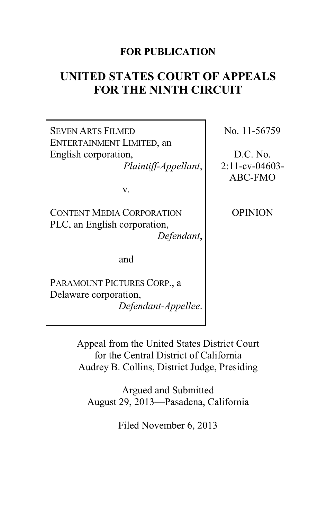# **FOR PUBLICATION**

# **UNITED STATES COURT OF APPEALS FOR THE NINTH CIRCUIT**

SEVEN ARTS FILMED ENTERTAINMENT LIMITED, an English corporation,

*Plaintiff-Appellant*,

v.

CONTENT MEDIA CORPORATION PLC, an English corporation, *Defendant*,

and

PARAMOUNT PICTURES CORP., a Delaware corporation, *Defendant-Appellee*. No. 11-56759

D.C. No. 2:11-cv-04603- ABC-FMO

**OPINION** 

Appeal from the United States District Court for the Central District of California Audrey B. Collins, District Judge, Presiding

Argued and Submitted August 29, 2013—Pasadena, California

Filed November 6, 2013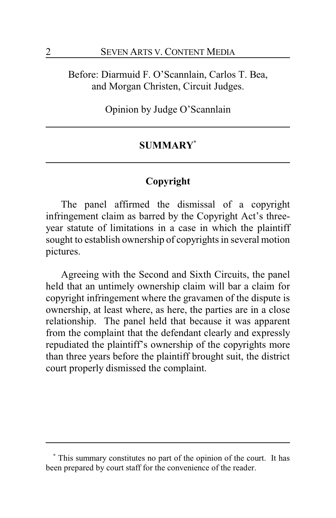Before: Diarmuid F. O'Scannlain, Carlos T. Bea, and Morgan Christen, Circuit Judges.

Opinion by Judge O'Scannlain

# **SUMMARY\***

# **Copyright**

The panel affirmed the dismissal of a copyright infringement claim as barred by the Copyright Act's threeyear statute of limitations in a case in which the plaintiff sought to establish ownership of copyrights in several motion pictures.

Agreeing with the Second and Sixth Circuits, the panel held that an untimely ownership claim will bar a claim for copyright infringement where the gravamen of the dispute is ownership, at least where, as here, the parties are in a close relationship. The panel held that because it was apparent from the complaint that the defendant clearly and expressly repudiated the plaintiff's ownership of the copyrights more than three years before the plaintiff brought suit, the district court properly dismissed the complaint.

**<sup>\*</sup>** This summary constitutes no part of the opinion of the court. It has been prepared by court staff for the convenience of the reader.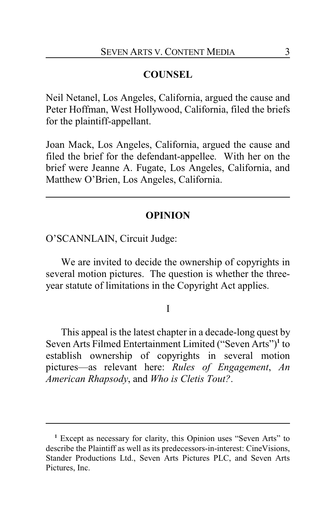# **COUNSEL**

Neil Netanel, Los Angeles, California, argued the cause and Peter Hoffman, West Hollywood, California, filed the briefs for the plaintiff-appellant.

Joan Mack, Los Angeles, California, argued the cause and filed the brief for the defendant-appellee. With her on the brief were Jeanne A. Fugate, Los Angeles, California, and Matthew O'Brien, Los Angeles, California.

# **OPINION**

O'SCANNLAIN, Circuit Judge:

We are invited to decide the ownership of copyrights in several motion pictures. The question is whether the threeyear statute of limitations in the Copyright Act applies.

### I

This appeal is the latest chapter in a decade-long quest by Seven Arts Filmed Entertainment Limited ("Seven Arts")**<sup>1</sup>** to establish ownership of copyrights in several motion pictures—as relevant here: *Rules of Engagement*, *An American Rhapsody*, and *Who is Cletis Tout?*.

**<sup>1</sup>** Except as necessary for clarity, this Opinion uses "Seven Arts" to describe the Plaintiff as well as its predecessors-in-interest: CineVisions, Stander Productions Ltd., Seven Arts Pictures PLC, and Seven Arts Pictures, Inc.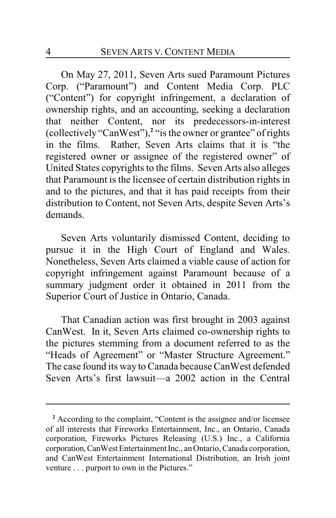On May 27, 2011, Seven Arts sued Paramount Pictures Corp. ("Paramount") and Content Media Corp. PLC ("Content") for copyright infringement, a declaration of ownership rights, and an accounting, seeking a declaration that neither Content, nor its predecessors-in-interest (collectively "CanWest"),**<sup>2</sup>** "is the owner or grantee" of rights in the films. Rather, Seven Arts claims that it is "the registered owner or assignee of the registered owner" of United States copyrights to the films. Seven Arts also alleges that Paramount is the licensee of certain distribution rights in and to the pictures, and that it has paid receipts from their distribution to Content, not Seven Arts, despite Seven Arts's demands.

Seven Arts voluntarily dismissed Content, deciding to pursue it in the High Court of England and Wales. Nonetheless, Seven Arts claimed a viable cause of action for copyright infringement against Paramount because of a summary judgment order it obtained in 2011 from the Superior Court of Justice in Ontario, Canada.

That Canadian action was first brought in 2003 against CanWest. In it, Seven Arts claimed co-ownership rights to the pictures stemming from a document referred to as the "Heads of Agreement" or "Master Structure Agreement." The case found its way to Canada because CanWest defended Seven Arts's first lawsuit—a 2002 action in the Central

**<sup>2</sup>** According to the complaint, "Content is the assignee and/or licensee of all interests that Fireworks Entertainment, Inc., an Ontario, Canada corporation, Fireworks Pictures Releasing (U.S.) Inc., a California corporation, CanWest Entertainment Inc., an Ontario, Canada corporation, and CanWest Entertainment International Distribution, an Irish joint venture . . . purport to own in the Pictures."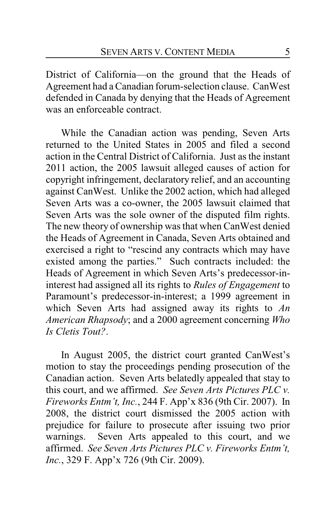District of California—on the ground that the Heads of Agreement had a Canadian forum-selection clause. CanWest defended in Canada by denying that the Heads of Agreement was an enforceable contract.

While the Canadian action was pending, Seven Arts returned to the United States in 2005 and filed a second action in the Central District of California. Just as the instant 2011 action, the 2005 lawsuit alleged causes of action for copyright infringement, declaratory relief, and an accounting against CanWest. Unlike the 2002 action, which had alleged Seven Arts was a co-owner, the 2005 lawsuit claimed that Seven Arts was the sole owner of the disputed film rights. The new theory of ownership was that when CanWest denied the Heads of Agreement in Canada, Seven Arts obtained and exercised a right to "rescind any contracts which may have existed among the parties." Such contracts included: the Heads of Agreement in which Seven Arts's predecessor-ininterest had assigned all its rights to *Rules of Engagement* to Paramount's predecessor-in-interest; a 1999 agreement in which Seven Arts had assigned away its rights to *An American Rhapsody*; and a 2000 agreement concerning *Who Is Cletis Tout?*.

In August 2005, the district court granted CanWest's motion to stay the proceedings pending prosecution of the Canadian action. Seven Arts belatedly appealed that stay to this court, and we affirmed. *See Seven Arts Pictures PLC v. Fireworks Entm't, Inc.*, 244 F. App'x 836 (9th Cir. 2007). In 2008, the district court dismissed the 2005 action with prejudice for failure to prosecute after issuing two prior warnings. Seven Arts appealed to this court, and we affirmed. *See Seven Arts Pictures PLC v. Fireworks Entm't, Inc.*, 329 F. App'x 726 (9th Cir. 2009).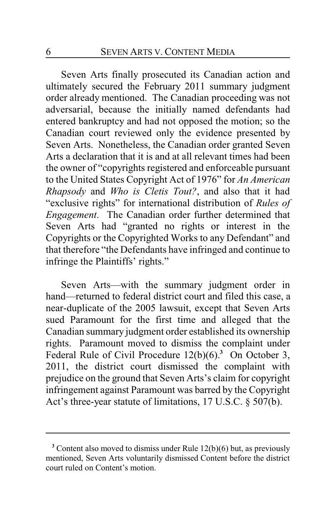Seven Arts finally prosecuted its Canadian action and ultimately secured the February 2011 summary judgment order already mentioned. The Canadian proceeding was not adversarial, because the initially named defendants had entered bankruptcy and had not opposed the motion; so the Canadian court reviewed only the evidence presented by Seven Arts. Nonetheless, the Canadian order granted Seven Arts a declaration that it is and at all relevant times had been the owner of "copyrights registered and enforceable pursuant to the United States Copyright Act of 1976" for *An American Rhapsody* and *Who is Cletis Tout?*, and also that it had "exclusive rights" for international distribution of *Rules of Engagement*. The Canadian order further determined that Seven Arts had "granted no rights or interest in the Copyrights or the Copyrighted Works to any Defendant" and that therefore "the Defendants have infringed and continue to infringe the Plaintiffs' rights."

Seven Arts—with the summary judgment order in hand—returned to federal district court and filed this case, a near-duplicate of the 2005 lawsuit, except that Seven Arts sued Paramount for the first time and alleged that the Canadian summary judgment order established its ownership rights. Paramount moved to dismiss the complaint under Federal Rule of Civil Procedure 12(b)(6).**<sup>3</sup>** On October 3, 2011, the district court dismissed the complaint with prejudice on the ground that Seven Arts's claim for copyright infringement against Paramount was barred by the Copyright Act's three-year statute of limitations, 17 U.S.C. § 507(b).

**<sup>3</sup>** Content also moved to dismiss under Rule 12(b)(6) but, as previously mentioned, Seven Arts voluntarily dismissed Content before the district court ruled on Content's motion.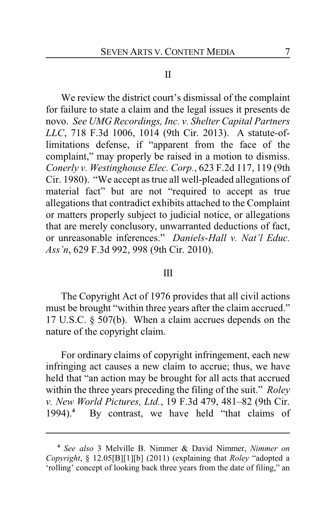### II

We review the district court's dismissal of the complaint for failure to state a claim and the legal issues it presents de novo. *See UMG Recordings, Inc. v. Shelter Capital Partners LLC*, 718 F.3d 1006, 1014 (9th Cir. 2013). A statute-oflimitations defense, if "apparent from the face of the complaint," may properly be raised in a motion to dismiss. *Conerly v. Westinghouse Elec. Corp.*, 623 F.2d 117, 119 (9th Cir. 1980). "We accept as true all well-pleaded allegations of material fact" but are not "required to accept as true allegations that contradict exhibits attached to the Complaint or matters properly subject to judicial notice, or allegations that are merely conclusory, unwarranted deductions of fact, or unreasonable inferences." *Daniels-Hall v. Nat'l Educ. Ass'n*, 629 F.3d 992, 998 (9th Cir. 2010).

#### III

The Copyright Act of 1976 provides that all civil actions must be brought "within three years after the claim accrued." 17 U.S.C. § 507(b). When a claim accrues depends on the nature of the copyright claim.

For ordinary claims of copyright infringement, each new infringing act causes a new claim to accrue; thus, we have held that "an action may be brought for all acts that accrued within the three years preceding the filing of the suit." *Roley v. New World Pictures, Ltd.*, 19 F.3d 479, 481–82 (9th Cir. 1994).**<sup>4</sup>** By contrast, we have held "that claims of

**<sup>4</sup>** *See also* 3 Melville B. Nimmer & David Nimmer, *Nimmer on Copyright*, § 12.05[B][1][b] (2011) (explaining that *Roley* "adopted a 'rolling' concept of looking back three years from the date of filing," an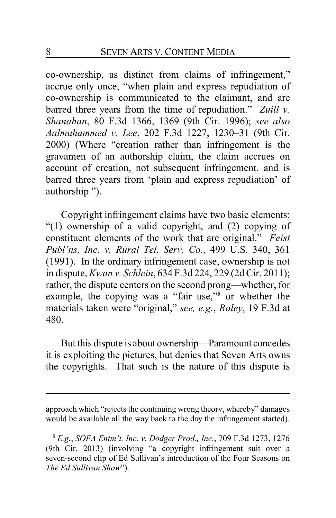co-ownership, as distinct from claims of infringement," accrue only once, "when plain and express repudiation of co-ownership is communicated to the claimant, and are barred three years from the time of repudiation." *Zuill v. Shanahan*, 80 F.3d 1366, 1369 (9th Cir. 1996); *see also Aalmuhammed v. Lee*, 202 F.3d 1227, 1230–31 (9th Cir. 2000) (Where "creation rather than infringement is the gravamen of an authorship claim, the claim accrues on account of creation, not subsequent infringement, and is barred three years from 'plain and express repudiation' of authorship.").

Copyright infringement claims have two basic elements: "(1) ownership of a valid copyright, and (2) copying of constituent elements of the work that are original." *Feist Publ'ns, Inc. v. Rural Tel. Serv. Co.*, 499 U.S. 340, 361 (1991). In the ordinary infringement case, ownership is not in dispute, *Kwan v. Schlein*, 634 F.3d 224, 229 (2d Cir. 2011); rather, the dispute centers on the second prong—whether, for example, the copying was a "fair use,"**<sup>5</sup>** or whether the materials taken were "original," *see, e.g.*, *Roley*, 19 F.3d at 480.

But this dispute is about ownership—Paramount concedes it is exploiting the pictures, but denies that Seven Arts owns the copyrights. That such is the nature of this dispute is

approach which "rejects the continuing wrong theory, whereby" damages would be available all the way back to the day the infringement started).

**<sup>5</sup>** *E.g.*, *SOFA Entm't, Inc. v. Dodger Prod., Inc.*, 709 F.3d 1273, 1276 (9th Cir. 2013) (involving "a copyright infringement suit over a seven-second clip of Ed Sullivan's introduction of the Four Seasons on *The Ed Sullivan Show*").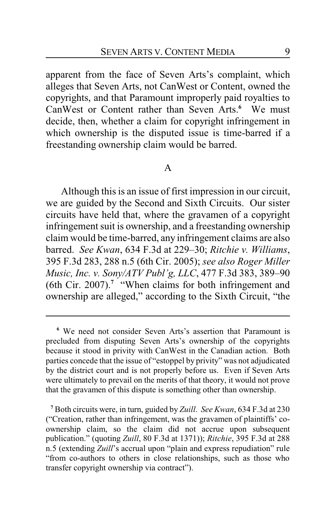apparent from the face of Seven Arts's complaint, which alleges that Seven Arts, not CanWest or Content, owned the copyrights, and that Paramount improperly paid royalties to CanWest or Content rather than Seven Arts.**<sup>6</sup>** We must decide, then, whether a claim for copyright infringement in which ownership is the disputed issue is time-barred if a freestanding ownership claim would be barred.

### A

Although this is an issue of first impression in our circuit, we are guided by the Second and Sixth Circuits. Our sister circuits have held that, where the gravamen of a copyright infringement suit is ownership, and a freestanding ownership claim would be time-barred, any infringement claims are also barred. *See Kwan*, 634 F.3d at 229–30; *Ritchie v. Williams*, 395 F.3d 283, 288 n.5 (6th Cir. 2005); *see also Roger Miller Music, Inc. v. Sony/ATV Publ'g, LLC*, 477 F.3d 383, 389–90 (6th Cir. 2007).**<sup>7</sup>** "When claims for both infringement and ownership are alleged," according to the Sixth Circuit, "the

**<sup>6</sup>** We need not consider Seven Arts's assertion that Paramount is precluded from disputing Seven Arts's ownership of the copyrights because it stood in privity with CanWest in the Canadian action. Both parties concede that the issue of "estoppel by privity" was not adjudicated by the district court and is not properly before us. Even if Seven Arts were ultimately to prevail on the merits of that theory, it would not prove that the gravamen of this dispute is something other than ownership.

**<sup>7</sup>** Both circuits were, in turn, guided by *Zuill*. *See Kwan*, 634 F.3d at 230 ("Creation, rather than infringement, was the gravamen of plaintiffs' coownership claim, so the claim did not accrue upon subsequent publication." (quoting *Zuill*, 80 F.3d at 1371)); *Ritchie*, 395 F.3d at 288 n.5 (extending *Zuill*'s accrual upon "plain and express repudiation" rule "from co-authors to others in close relationships, such as those who transfer copyright ownership via contract").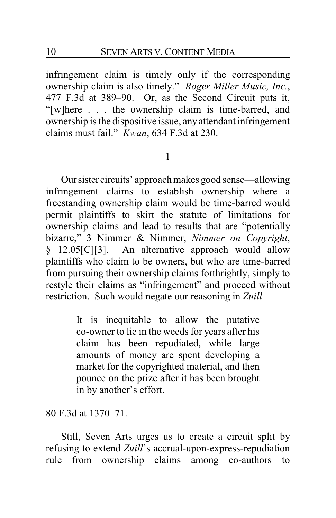infringement claim is timely only if the corresponding ownership claim is also timely." *Roger Miller Music, Inc.*, 477 F.3d at 389–90. Or, as the Second Circuit puts it, "[w]here . . . the ownership claim is time-barred, and ownership is the dispositive issue, anyattendant infringement claims must fail." *Kwan*, 634 F.3d at 230.

### 1

Oursister circuits' approach makes good sense—allowing infringement claims to establish ownership where a freestanding ownership claim would be time-barred would permit plaintiffs to skirt the statute of limitations for ownership claims and lead to results that are "potentially bizarre," 3 Nimmer & Nimmer, *Nimmer on Copyright*, § 12.05[C][3]. An alternative approach would allow plaintiffs who claim to be owners, but who are time-barred from pursuing their ownership claims forthrightly, simply to restyle their claims as "infringement" and proceed without restriction. Such would negate our reasoning in *Zuill*—

> It is inequitable to allow the putative co-owner to lie in the weeds for years after his claim has been repudiated, while large amounts of money are spent developing a market for the copyrighted material, and then pounce on the prize after it has been brought in by another's effort.

80 F.3d at 1370–71.

Still, Seven Arts urges us to create a circuit split by refusing to extend *Zuill*'s accrual-upon-express-repudiation rule from ownership claims among co-authors to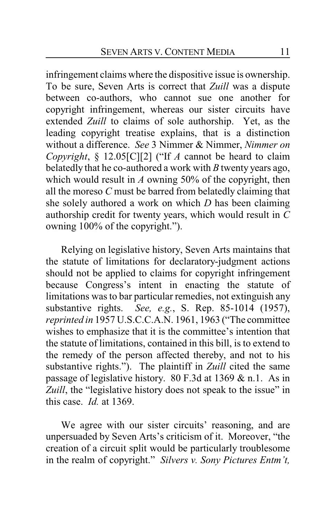infringement claims where the dispositive issue is ownership. To be sure, Seven Arts is correct that *Zuill* was a dispute between co-authors, who cannot sue one another for copyright infringement, whereas our sister circuits have extended *Zuill* to claims of sole authorship. Yet, as the leading copyright treatise explains, that is a distinction without a difference. *See* 3 Nimmer & Nimmer, *Nimmer on Copyright*, § 12.05[C][2] ("If *A* cannot be heard to claim belatedly that he co-authored a work with *B* twenty years ago, which would result in *A* owning 50% of the copyright, then all the moreso *C* must be barred from belatedly claiming that she solely authored a work on which *D* has been claiming authorship credit for twenty years, which would result in *C* owning 100% of the copyright.").

Relying on legislative history, Seven Arts maintains that the statute of limitations for declaratory-judgment actions should not be applied to claims for copyright infringement because Congress's intent in enacting the statute of limitations was to bar particular remedies, not extinguish any substantive rights. *See, e.g.*, S. Rep. 85-1014 (1957), *reprinted in* 1957 U.S.C.C.A.N. 1961, 1963 ("The committee wishes to emphasize that it is the committee's intention that the statute of limitations, contained in this bill, is to extend to the remedy of the person affected thereby, and not to his substantive rights."). The plaintiff in *Zuill* cited the same passage of legislative history. 80 F.3d at 1369 & n.1. As in *Zuill*, the "legislative history does not speak to the issue" in this case. *Id.* at 1369.

We agree with our sister circuits' reasoning, and are unpersuaded by Seven Arts's criticism of it. Moreover, "the creation of a circuit split would be particularly troublesome in the realm of copyright." *Silvers v. Sony Pictures Entm't,*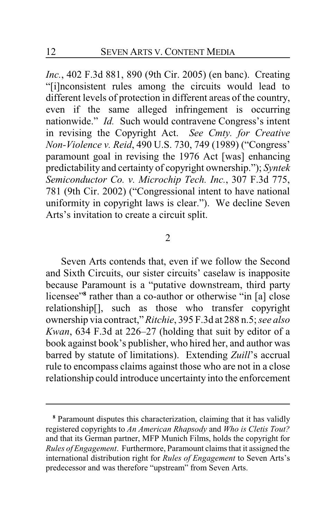*Inc.*, 402 F.3d 881, 890 (9th Cir. 2005) (en banc). Creating "[i]nconsistent rules among the circuits would lead to different levels of protection in different areas of the country, even if the same alleged infringement is occurring nationwide." *Id.* Such would contravene Congress's intent in revising the Copyright Act. *See Cmty. for Creative Non-Violence v. Reid*, 490 U.S. 730, 749 (1989) ("Congress' paramount goal in revising the 1976 Act [was] enhancing predictability and certainty of copyright ownership."); *Syntek Semiconductor Co. v. Microchip Tech. Inc.*, 307 F.3d 775, 781 (9th Cir. 2002) ("Congressional intent to have national uniformity in copyright laws is clear."). We decline Seven Arts's invitation to create a circuit split.

### 2

Seven Arts contends that, even if we follow the Second and Sixth Circuits, our sister circuits' caselaw is inapposite because Paramount is a "putative downstream, third party licensee"**<sup>8</sup>** rather than a co-author or otherwise "in [a] close relationship[], such as those who transfer copyright ownership via contract," *Ritchie*, 395 F.3d at 288 n.5; *see also Kwan*, 634 F.3d at 226–27 (holding that suit by editor of a book against book's publisher, who hired her, and author was barred by statute of limitations). Extending *Zuill*'s accrual rule to encompass claims against those who are not in a close relationship could introduce uncertainty into the enforcement

**<sup>8</sup>** Paramount disputes this characterization, claiming that it has validly registered copyrights to *An American Rhapsody* and *Who is Cletis Tout?* and that its German partner, MFP Munich Films, holds the copyright for *Rules of Engagement*. Furthermore, Paramount claims that it assigned the international distribution right for *Rules of Engagement* to Seven Arts's predecessor and was therefore "upstream" from Seven Arts.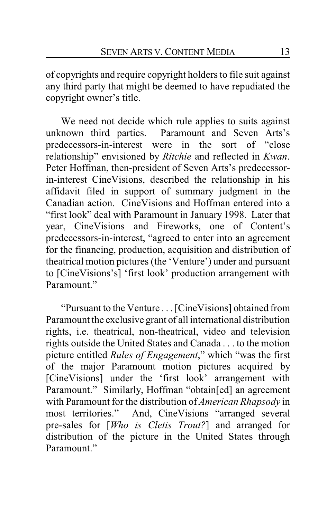of copyrights and require copyright holders to file suit against any third party that might be deemed to have repudiated the copyright owner's title.

We need not decide which rule applies to suits against unknown third parties. Paramount and Seven Arts's predecessors-in-interest were in the sort of "close relationship" envisioned by *Ritchie* and reflected in *Kwan*. Peter Hoffman, then-president of Seven Arts's predecessorin-interest CineVisions, described the relationship in his affidavit filed in support of summary judgment in the Canadian action. CineVisions and Hoffman entered into a "first look" deal with Paramount in January 1998. Later that year, CineVisions and Fireworks, one of Content's predecessors-in-interest, "agreed to enter into an agreement for the financing, production, acquisition and distribution of theatrical motion pictures (the 'Venture') under and pursuant to [CineVisions's] 'first look' production arrangement with Paramount"

"Pursuant to the Venture . . . [CineVisions] obtained from Paramount the exclusive grant of all international distribution rights, i.e. theatrical, non-theatrical, video and television rights outside the United States and Canada . . . to the motion picture entitled *Rules of Engagement*," which "was the first of the major Paramount motion pictures acquired by [CineVisions] under the 'first look' arrangement with Paramount." Similarly, Hoffman "obtain[ed] an agreement with Paramount for the distribution of *American Rhapsody* in most territories." And, CineVisions "arranged several pre-sales for [*Who is Cletis Trout?*] and arranged for distribution of the picture in the United States through Paramount"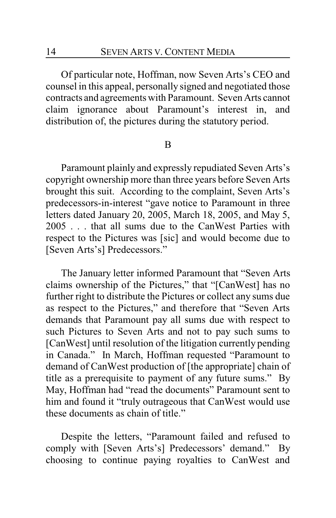Of particular note, Hoffman, now Seven Arts's CEO and counsel in this appeal, personally signed and negotiated those contracts and agreements with Paramount. Seven Arts cannot claim ignorance about Paramount's interest in, and distribution of, the pictures during the statutory period.

#### B

Paramount plainly and expressly repudiated Seven Arts's copyright ownership more than three years before Seven Arts brought this suit. According to the complaint, Seven Arts's predecessors-in-interest "gave notice to Paramount in three letters dated January 20, 2005, March 18, 2005, and May 5, 2005 . . . that all sums due to the CanWest Parties with respect to the Pictures was [sic] and would become due to [Seven Arts's] Predecessors."

The January letter informed Paramount that "Seven Arts claims ownership of the Pictures," that "[CanWest] has no further right to distribute the Pictures or collect any sums due as respect to the Pictures," and therefore that "Seven Arts demands that Paramount pay all sums due with respect to such Pictures to Seven Arts and not to pay such sums to [CanWest] until resolution of the litigation currently pending in Canada." In March, Hoffman requested "Paramount to demand of CanWest production of [the appropriate] chain of title as a prerequisite to payment of any future sums." By May, Hoffman had "read the documents" Paramount sent to him and found it "truly outrageous that CanWest would use these documents as chain of title."

Despite the letters, "Paramount failed and refused to comply with [Seven Arts's] Predecessors' demand." By choosing to continue paying royalties to CanWest and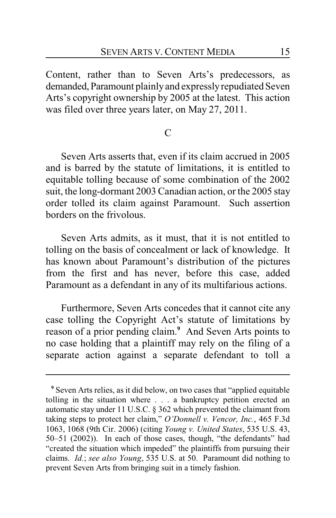Content, rather than to Seven Arts's predecessors, as demanded, Paramount plainlyand expresslyrepudiated Seven Arts's copyright ownership by 2005 at the latest. This action was filed over three years later, on May 27, 2011.

# $\mathcal{C}$

Seven Arts asserts that, even if its claim accrued in 2005 and is barred by the statute of limitations, it is entitled to equitable tolling because of some combination of the 2002 suit, the long-dormant 2003 Canadian action, or the 2005 stay order tolled its claim against Paramount. Such assertion borders on the frivolous.

Seven Arts admits, as it must, that it is not entitled to tolling on the basis of concealment or lack of knowledge. It has known about Paramount's distribution of the pictures from the first and has never, before this case, added Paramount as a defendant in any of its multifarious actions.

Furthermore, Seven Arts concedes that it cannot cite any case tolling the Copyright Act's statute of limitations by reason of a prior pending claim.**<sup>9</sup>** And Seven Arts points to no case holding that a plaintiff may rely on the filing of a separate action against a separate defendant to toll a

**<sup>9</sup>** Seven Arts relies, as it did below, on two cases that "applied equitable tolling in the situation where . . . a bankruptcy petition erected an automatic stay under 11 U.S.C. § 362 which prevented the claimant from taking steps to protect her claim," *O'Donnell v. Vencor, Inc.*, 465 F.3d 1063, 1068 (9th Cir. 2006) (citing *Young v. United States*, 535 U.S. 43, 50–51 (2002)). In each of those cases, though, "the defendants" had "created the situation which impeded" the plaintiffs from pursuing their claims. *Id.*; *see also Young*, 535 U.S. at 50. Paramount did nothing to prevent Seven Arts from bringing suit in a timely fashion.